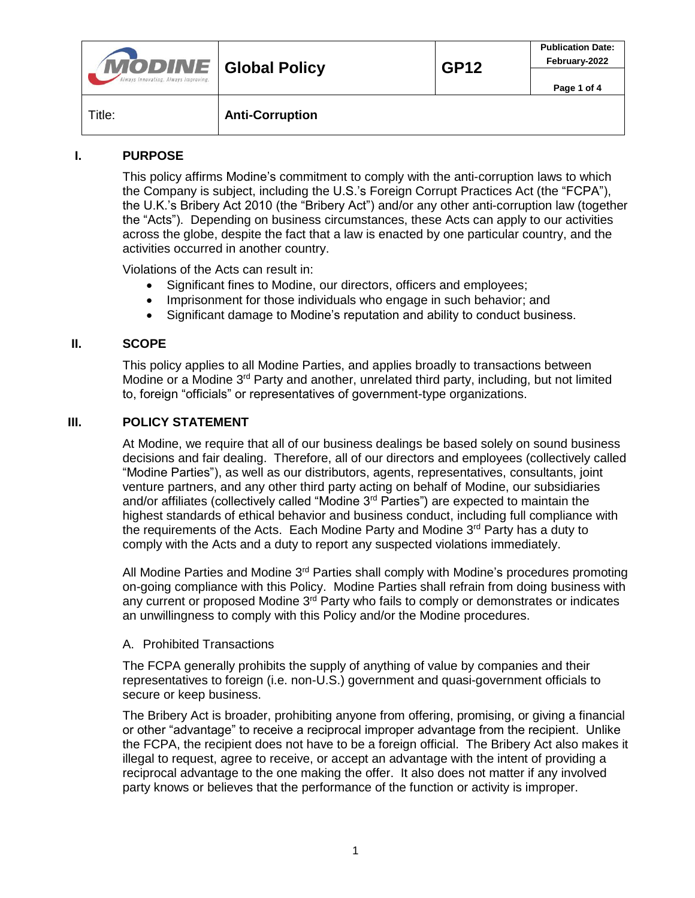| <b>MODINE</b> Global Policy<br>Always Innovating. Always Improving. |                        | <b>GP12</b> | <b>Publication Date:</b><br>February-2022 |
|---------------------------------------------------------------------|------------------------|-------------|-------------------------------------------|
|                                                                     |                        |             | Page 1 of 4                               |
| Title:                                                              | <b>Anti-Corruption</b> |             |                                           |

# **I. PURPOSE**

This policy affirms Modine's commitment to comply with the anti-corruption laws to which the Company is subject, including the U.S.'s Foreign Corrupt Practices Act (the "FCPA"), the U.K.'s Bribery Act 2010 (the "Bribery Act") and/or any other anti-corruption law (together the "Acts"). Depending on business circumstances, these Acts can apply to our activities across the globe, despite the fact that a law is enacted by one particular country, and the activities occurred in another country.

Violations of the Acts can result in:

- Significant fines to Modine, our directors, officers and employees;
- Imprisonment for those individuals who engage in such behavior; and
- Significant damage to Modine's reputation and ability to conduct business.

## **II. SCOPE**

This policy applies to all Modine Parties, and applies broadly to transactions between Modine or a Modine  $3<sup>rd</sup>$  Party and another, unrelated third party, including, but not limited to, foreign "officials" or representatives of government-type organizations.

### **III. POLICY STATEMENT**

At Modine, we require that all of our business dealings be based solely on sound business decisions and fair dealing. Therefore, all of our directors and employees (collectively called "Modine Parties"), as well as our distributors, agents, representatives, consultants, joint venture partners, and any other third party acting on behalf of Modine, our subsidiaries and/or affiliates (collectively called "Modine 3<sup>rd</sup> Parties") are expected to maintain the highest standards of ethical behavior and business conduct, including full compliance with the requirements of the Acts. Each Modine Party and Modine 3<sup>rd</sup> Party has a duty to comply with the Acts and a duty to report any suspected violations immediately.

All Modine Parties and Modine  $3<sup>rd</sup>$  Parties shall comply with Modine's procedures promoting on-going compliance with this Policy. Modine Parties shall refrain from doing business with any current or proposed Modine 3<sup>rd</sup> Party who fails to comply or demonstrates or indicates an unwillingness to comply with this Policy and/or the Modine procedures.

#### A. Prohibited Transactions

The FCPA generally prohibits the supply of anything of value by companies and their representatives to foreign (i.e. non-U.S.) government and quasi-government officials to secure or keep business.

The Bribery Act is broader, prohibiting anyone from offering, promising, or giving a financial or other "advantage" to receive a reciprocal improper advantage from the recipient. Unlike the FCPA, the recipient does not have to be a foreign official. The Bribery Act also makes it illegal to request, agree to receive, or accept an advantage with the intent of providing a reciprocal advantage to the one making the offer. It also does not matter if any involved party knows or believes that the performance of the function or activity is improper.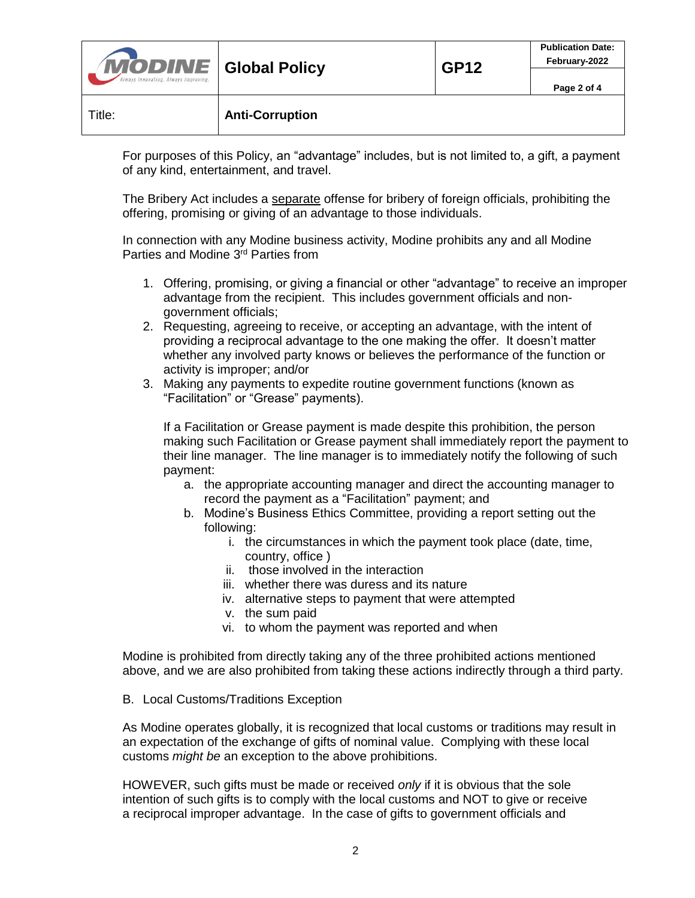| Title:                               | <b>Anti-Corruption</b> |             |                                           |
|--------------------------------------|------------------------|-------------|-------------------------------------------|
| Always Innovating. Always Improving. |                        |             | Page 2 of 4                               |
| <b>MODINE</b> Global Policy          |                        | <b>GP12</b> | <b>Publication Date:</b><br>February-2022 |

For purposes of this Policy, an "advantage" includes, but is not limited to, a gift, a payment of any kind, entertainment, and travel.

The Bribery Act includes a separate offense for bribery of foreign officials, prohibiting the offering, promising or giving of an advantage to those individuals.

In connection with any Modine business activity, Modine prohibits any and all Modine Parties and Modine 3rd Parties from

- 1. Offering, promising, or giving a financial or other "advantage" to receive an improper advantage from the recipient. This includes government officials and nongovernment officials;
- 2. Requesting, agreeing to receive, or accepting an advantage, with the intent of providing a reciprocal advantage to the one making the offer. It doesn't matter whether any involved party knows or believes the performance of the function or activity is improper; and/or
- 3. Making any payments to expedite routine government functions (known as "Facilitation" or "Grease" payments).

If a Facilitation or Grease payment is made despite this prohibition, the person making such Facilitation or Grease payment shall immediately report the payment to their line manager. The line manager is to immediately notify the following of such payment:

- a. the appropriate accounting manager and direct the accounting manager to record the payment as a "Facilitation" payment; and
- b. Modine's Business Ethics Committee, providing a report setting out the following:
	- i. the circumstances in which the payment took place (date, time, country, office )
	- ii. those involved in the interaction
	- iii. whether there was duress and its nature
	- iv. alternative steps to payment that were attempted
	- v. the sum paid
	- vi. to whom the payment was reported and when

Modine is prohibited from directly taking any of the three prohibited actions mentioned above, and we are also prohibited from taking these actions indirectly through a third party.

B. Local Customs/Traditions Exception

As Modine operates globally, it is recognized that local customs or traditions may result in an expectation of the exchange of gifts of nominal value. Complying with these local customs *might be* an exception to the above prohibitions.

HOWEVER, such gifts must be made or received *only* if it is obvious that the sole intention of such gifts is to comply with the local customs and NOT to give or receive a reciprocal improper advantage. In the case of gifts to government officials and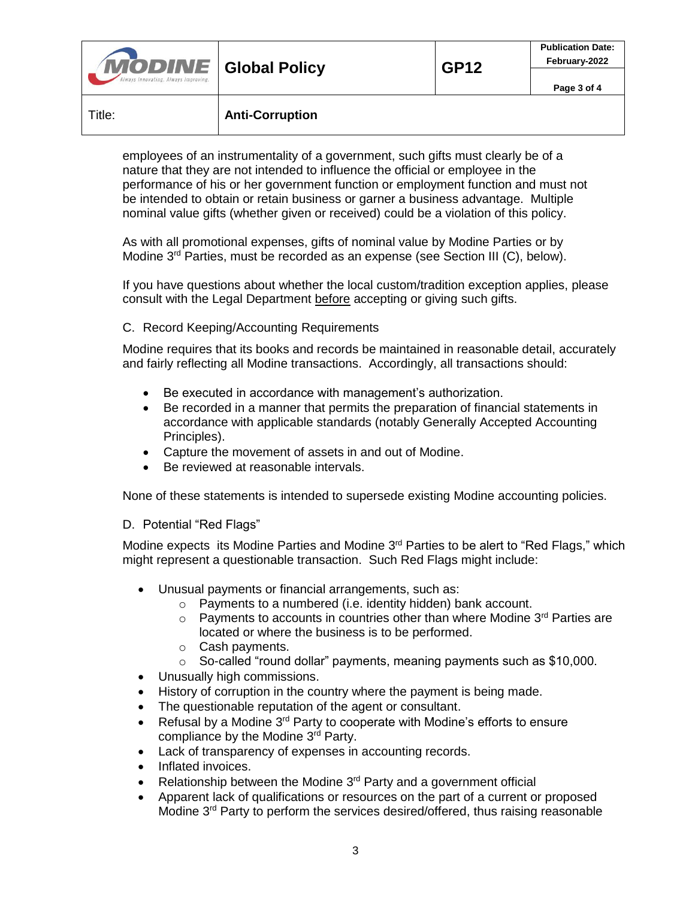| <b>MODINE</b> Global Policy<br>Always Innovating. Always Improving. |                        | <b>GP12</b> | <b>Publication Date:</b><br>February-2022 |
|---------------------------------------------------------------------|------------------------|-------------|-------------------------------------------|
|                                                                     |                        |             | Page 3 of 4                               |
| Title:                                                              | <b>Anti-Corruption</b> |             |                                           |

employees of an instrumentality of a government, such gifts must clearly be of a nature that they are not intended to influence the official or employee in the performance of his or her government function or employment function and must not be intended to obtain or retain business or garner a business advantage. Multiple nominal value gifts (whether given or received) could be a violation of this policy.

As with all promotional expenses, gifts of nominal value by Modine Parties or by Modine 3<sup>rd</sup> Parties, must be recorded as an expense (see Section III (C), below).

If you have questions about whether the local custom/tradition exception applies, please consult with the Legal Department before accepting or giving such gifts.

### C. Record Keeping/Accounting Requirements

Modine requires that its books and records be maintained in reasonable detail, accurately and fairly reflecting all Modine transactions. Accordingly, all transactions should:

- Be executed in accordance with management's authorization.
- Be recorded in a manner that permits the preparation of financial statements in accordance with applicable standards (notably Generally Accepted Accounting Principles).
- Capture the movement of assets in and out of Modine.
- Be reviewed at reasonable intervals.

None of these statements is intended to supersede existing Modine accounting policies.

#### D. Potential "Red Flags"

Modine expects its Modine Parties and Modine  $3<sup>rd</sup>$  Parties to be alert to "Red Flags," which might represent a questionable transaction. Such Red Flags might include:

- Unusual payments or financial arrangements, such as:
	- o Payments to a numbered (i.e. identity hidden) bank account.
	- $\circ$  Payments to accounts in countries other than where Modine 3<sup>rd</sup> Parties are located or where the business is to be performed.
	- o Cash payments.
	- o So-called "round dollar" payments, meaning payments such as \$10,000.
- Unusually high commissions.
- History of corruption in the country where the payment is being made.
- The questionable reputation of the agent or consultant.
- Exercise Netusal by a Modine  $3^{rd}$  Party to cooperate with Modine's efforts to ensure compliance by the Modine 3rd Party.
- Lack of transparency of expenses in accounting records.
- Inflated invoices.
- Relationship between the Modine 3<sup>rd</sup> Party and a government official
- Apparent lack of qualifications or resources on the part of a current or proposed Modine 3<sup>rd</sup> Party to perform the services desired/offered, thus raising reasonable